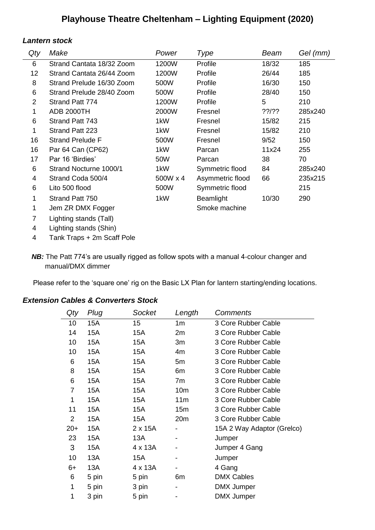# **Playhouse Theatre Cheltenham – Lighting Equipment (2020)**

## *Lantern stock*

 $\overline{\phantom{a}}$ 

| Qty            | Make                      | Power    | Type             | Beam  | Gel (mm) |
|----------------|---------------------------|----------|------------------|-------|----------|
| 6              | Strand Cantata 18/32 Zoom | 1200W    | Profile          | 18/32 | 185      |
| 12             | Strand Cantata 26/44 Zoom | 1200W    | Profile          | 26/44 | 185      |
| 8              | Strand Prelude 16/30 Zoom | 500W     | Profile          | 16/30 | 150      |
| 6              | Strand Prelude 28/40 Zoom | 500W     | Profile          | 28/40 | 150      |
| $\overline{2}$ | Strand Patt 774           | 1200W    | Profile          | 5     | 210      |
| 1              | <b>ADB 2000TH</b>         | 2000W    | Fresnel          | ??/?? | 285x240  |
| 6              | Strand Patt 743           | 1kW      | Fresnel          | 15/82 | 215      |
| 1              | Strand Patt 223           | 1kW      | Fresnel          | 15/82 | 210      |
| 16             | <b>Strand Prelude F</b>   | 500W     | Fresnel          | 9/52  | 150      |
| 16             | Par 64 Can (CP62)         | 1kW      | Parcan           | 11x24 | 255      |
| 17             | Par 16 'Birdies'          | 50W      | Parcan           | 38    | 70       |
| 6              | Strand Nocturne 1000/1    | 1kW      | Symmetric flood  | 84    | 285x240  |
| 4              | Strand Coda 500/4         | 500W x 4 | Asymmetric flood | 66    | 235x215  |
| 6              | Lito 500 flood            | 500W     | Symmetric flood  |       | 215      |
| 1              | Strand Patt 750           | 1kW      | <b>Beamlight</b> | 10/30 | 290      |
| 1              | Jem ZR DMX Fogger         |          | Smoke machine    |       |          |
| $\overline{7}$ | Lighting stands (Tall)    |          |                  |       |          |
| 4              | Lighting stands (Shin)    |          |                  |       |          |

4 Tank Traps + 2m Scaff Pole

*NB:* The Patt 774's are usually rigged as follow spots with a manual 4-colour changer and manual/DMX dimmer

Please refer to the 'square one' rig on the Basic LX Plan for lantern starting/ending locations.

## *Extension Cables & Converters Stock*

| Qty   | Plug  | Socket         | Length          | <b>Comments</b>            |
|-------|-------|----------------|-----------------|----------------------------|
| 10    | 15A   | 15             | 1 <sub>m</sub>  | 3 Core Rubber Cable        |
| 14    | 15A   | 15A            | 2m              | 3 Core Rubber Cable        |
| 10    | 15A   | 15A            | 3m              | 3 Core Rubber Cable        |
| 10    | 15A   | 15A            | 4m              | 3 Core Rubber Cable        |
| 6     | 15A   | 15A            | 5m              | 3 Core Rubber Cable        |
| 8     | 15A   | 15A            | 6m              | 3 Core Rubber Cable        |
| 6     | 15A   | 15A            | 7m              | 3 Core Rubber Cable        |
| 7     | 15A   | 15A            | 10 <sub>m</sub> | 3 Core Rubber Cable        |
| 1     | 15A   | 15A            | 11 <sub>m</sub> | 3 Core Rubber Cable        |
| 11    | 15A   | 15A            | 15m             | 3 Core Rubber Cable        |
| 2     | 15A   | 15A            | 20 <sub>m</sub> | 3 Core Rubber Cable        |
| $20+$ | 15A   | $2 \times 15A$ |                 | 15A 2 Way Adaptor (Grelco) |
| 23    | 15A   | 13A            |                 | Jumper                     |
| 3     | 15A   | 4 x 13A        |                 | Jumper 4 Gang              |
| 10    | 13A   | 15A            |                 | Jumper                     |
| $6+$  | 13A   | 4 x 13A        |                 | 4 Gang                     |
| 6     | 5 pin | 5 pin          | 6m              | <b>DMX Cables</b>          |
| 1     | 5 pin | 3 pin          |                 | <b>DMX Jumper</b>          |
| 1     | 3 pin | 5 pin          |                 | <b>DMX Jumper</b>          |